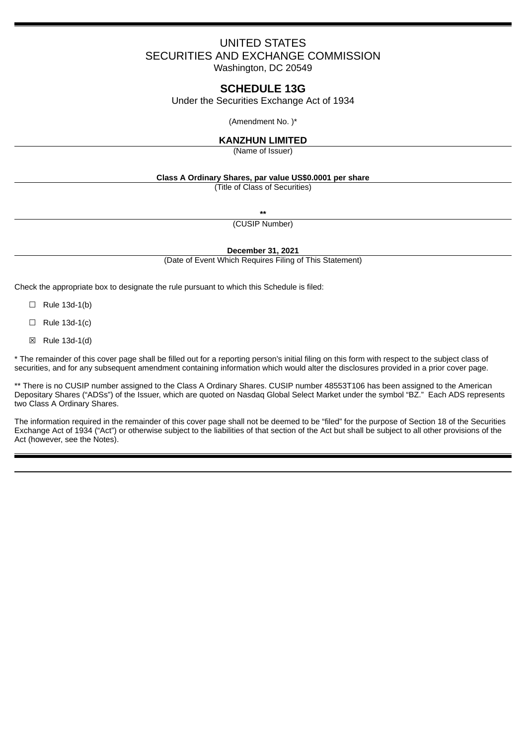# UNITED STATES SECURITIES AND EXCHANGE COMMISSION

Washington, DC 20549

## **SCHEDULE 13G**

Under the Securities Exchange Act of 1934

(Amendment No. )\*

## **KANZHUN LIMITED**

(Name of Issuer)

## **Class A Ordinary Shares, par value US\$0.0001 per share**

(Title of Class of Securities)

**\*\***

(CUSIP Number)

**December 31, 2021**

(Date of Event Which Requires Filing of This Statement)

Check the appropriate box to designate the rule pursuant to which this Schedule is filed:

- $\Box$  Rule 13d-1(b)
- $\Box$  Rule 13d-1(c)
- ☒ Rule 13d-1(d)

\* The remainder of this cover page shall be filled out for a reporting person's initial filing on this form with respect to the subject class of securities, and for any subsequent amendment containing information which would alter the disclosures provided in a prior cover page.

\*\* There is no CUSIP number assigned to the Class A Ordinary Shares. CUSIP number 48553T106 has been assigned to the American Depositary Shares ("ADSs") of the Issuer, which are quoted on Nasdaq Global Select Market under the symbol "BZ." Each ADS represents two Class A Ordinary Shares.

The information required in the remainder of this cover page shall not be deemed to be "filed" for the purpose of Section 18 of the Securities Exchange Act of 1934 ("Act") or otherwise subject to the liabilities of that section of the Act but shall be subject to all other provisions of the Act (however, see the Notes).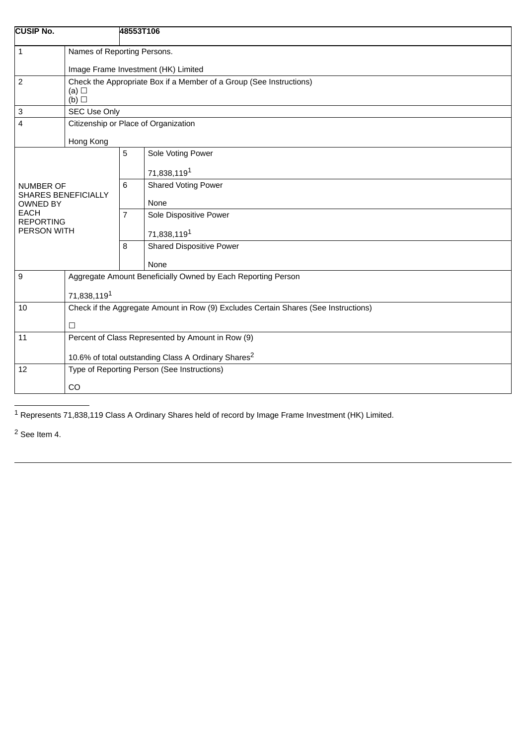| <b>CUSIP No.</b>                               |                                                                                                      | 48553T106      |                                 |  |  |
|------------------------------------------------|------------------------------------------------------------------------------------------------------|----------------|---------------------------------|--|--|
| $\mathbf{1}$                                   | Names of Reporting Persons.                                                                          |                |                                 |  |  |
|                                                | Image Frame Investment (HK) Limited                                                                  |                |                                 |  |  |
| $\overline{c}$                                 | Check the Appropriate Box if a Member of a Group (See Instructions)<br>(a) $\Box$<br>$(b)$ $\square$ |                |                                 |  |  |
| 3                                              | SEC Use Only                                                                                         |                |                                 |  |  |
| 4                                              | Citizenship or Place of Organization                                                                 |                |                                 |  |  |
| Hong Kong                                      |                                                                                                      |                |                                 |  |  |
|                                                |                                                                                                      | 5              | Sole Voting Power               |  |  |
| <b>NUMBER OF</b>                               |                                                                                                      |                | 71,838,1191                     |  |  |
|                                                |                                                                                                      | 6              | <b>Shared Voting Power</b>      |  |  |
| <b>SHARES BENEFICIALLY</b><br><b>OWNED BY</b>  |                                                                                                      |                | None                            |  |  |
| <b>EACH</b><br><b>REPORTING</b><br>PERSON WITH |                                                                                                      | $\overline{7}$ | Sole Dispositive Power          |  |  |
|                                                |                                                                                                      |                | 71,838,119 <sup>1</sup>         |  |  |
|                                                |                                                                                                      | 8              | <b>Shared Dispositive Power</b> |  |  |
|                                                |                                                                                                      |                | None                            |  |  |
| 9                                              | Aggregate Amount Beneficially Owned by Each Reporting Person                                         |                |                                 |  |  |
|                                                | 71,838,1191                                                                                          |                |                                 |  |  |
| 10                                             | Check if the Aggregate Amount in Row (9) Excludes Certain Shares (See Instructions)                  |                |                                 |  |  |
| $\Box$                                         |                                                                                                      |                |                                 |  |  |
| 11                                             | Percent of Class Represented by Amount in Row (9)                                                    |                |                                 |  |  |
|                                                | 10.6% of total outstanding Class A Ordinary Shares <sup>2</sup>                                      |                |                                 |  |  |
| 12                                             | Type of Reporting Person (See Instructions)<br><b>CO</b>                                             |                |                                 |  |  |
|                                                |                                                                                                      |                |                                 |  |  |

 $\overline{1}$  Represents 71,838,119 Class A Ordinary Shares held of record by Image Frame Investment (HK) Limited.

<sup>2</sup> See Item 4.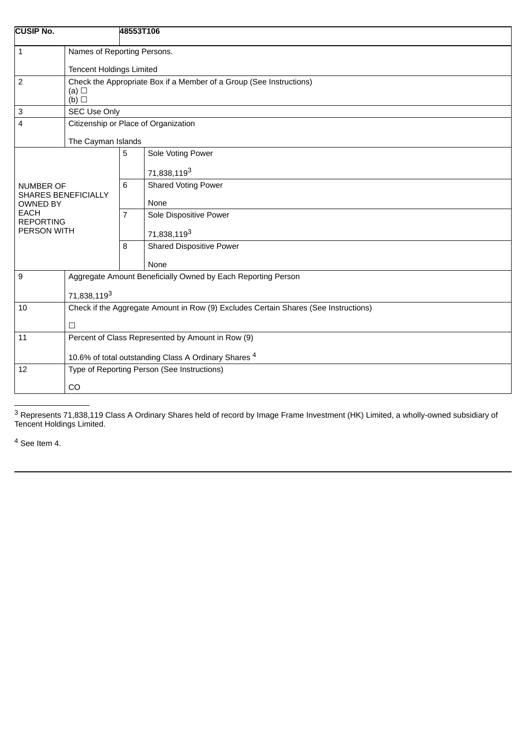| <b>CUSIP No.</b>                                                                          |                                                                                                      | 48553T106                            |                          |  |  |
|-------------------------------------------------------------------------------------------|------------------------------------------------------------------------------------------------------|--------------------------------------|--------------------------|--|--|
| $\mathbf{1}$                                                                              | Names of Reporting Persons.<br><b>Tencent Holdings Limited</b>                                       |                                      |                          |  |  |
| $\overline{2}$                                                                            | Check the Appropriate Box if a Member of a Group (See Instructions)<br>(a) $\Box$<br>$(b)$ $\square$ |                                      |                          |  |  |
| 3                                                                                         | SEC Use Only                                                                                         |                                      |                          |  |  |
| 4                                                                                         |                                                                                                      | Citizenship or Place of Organization |                          |  |  |
|                                                                                           | The Cayman Islands                                                                                   |                                      |                          |  |  |
|                                                                                           |                                                                                                      | 5                                    | Sole Voting Power        |  |  |
| <b>NUMBER OF</b>                                                                          |                                                                                                      |                                      | 71,838,119 <sup>3</sup>  |  |  |
|                                                                                           |                                                                                                      | 6                                    | Shared Voting Power      |  |  |
| <b>SHARES BENEFICIALLY</b><br><b>OWNED BY</b>                                             |                                                                                                      |                                      | None                     |  |  |
| <b>EACH</b><br><b>REPORTING</b>                                                           |                                                                                                      |                                      | Sole Dispositive Power   |  |  |
| PERSON WITH                                                                               |                                                                                                      |                                      | 71,838,1193              |  |  |
|                                                                                           |                                                                                                      | 8                                    | Shared Dispositive Power |  |  |
|                                                                                           |                                                                                                      |                                      | None                     |  |  |
| 9                                                                                         | Aggregate Amount Beneficially Owned by Each Reporting Person                                         |                                      |                          |  |  |
|                                                                                           | 71,838,1193                                                                                          |                                      |                          |  |  |
| Check if the Aggregate Amount in Row (9) Excludes Certain Shares (See Instructions)<br>10 |                                                                                                      |                                      |                          |  |  |
|                                                                                           | $\Box$                                                                                               |                                      |                          |  |  |
| 11                                                                                        | Percent of Class Represented by Amount in Row (9)                                                    |                                      |                          |  |  |
|                                                                                           | 10.6% of total outstanding Class A Ordinary Shares <sup>4</sup>                                      |                                      |                          |  |  |
| 12                                                                                        | Type of Reporting Person (See Instructions)                                                          |                                      |                          |  |  |
|                                                                                           | CO                                                                                                   |                                      |                          |  |  |
|                                                                                           |                                                                                                      |                                      |                          |  |  |

 $^3$  Represents 71,838,119 Class A Ordinary Shares held of record by Image Frame Investment (HK) Limited, a wholly-owned subsidiary of Tencent Holdings Limited.

<sup>4</sup> See Item 4.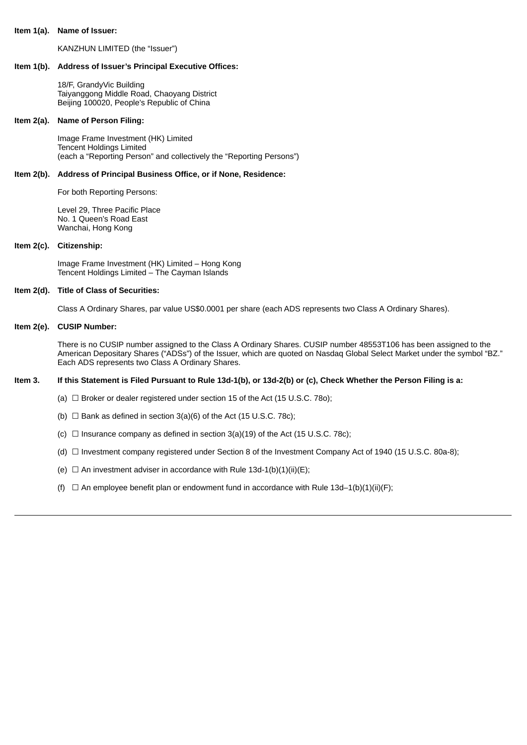#### **Item 1(a). Name of Issuer:**

KANZHUN LIMITED (the "Issuer")

#### **Item 1(b). Address of Issuer's Principal Executive Offices:**

18/F, GrandyVic Building Taiyanggong Middle Road, Chaoyang District Beijing 100020, People's Republic of China

#### **Item 2(a). Name of Person Filing:**

Image Frame Investment (HK) Limited Tencent Holdings Limited (each a "Reporting Person" and collectively the "Reporting Persons")

#### **Item 2(b). Address of Principal Business Office, or if None, Residence:**

For both Reporting Persons:

Level 29, Three Pacific Place No. 1 Queen's Road East Wanchai, Hong Kong

## **Item 2(c). Citizenship:**

Image Frame Investment (HK) Limited – Hong Kong Tencent Holdings Limited – The Cayman Islands

#### **Item 2(d). Title of Class of Securities:**

Class A Ordinary Shares, par value US\$0.0001 per share (each ADS represents two Class A Ordinary Shares).

#### **Item 2(e). CUSIP Number:**

There is no CUSIP number assigned to the Class A Ordinary Shares. CUSIP number 48553T106 has been assigned to the American Depositary Shares ("ADSs") of the Issuer, which are quoted on Nasdaq Global Select Market under the symbol "BZ." Each ADS represents two Class A Ordinary Shares.

#### Item 3. If this Statement is Filed Pursuant to Rule 13d-1(b), or 13d-2(b) or (c), Check Whether the Person Filing is a:

- (a)  $\Box$  Broker or dealer registered under section 15 of the Act (15 U.S.C. 780);
- (b)  $\Box$  Bank as defined in section 3(a)(6) of the Act (15 U.S.C. 78c);
- (c)  $\Box$  Insurance company as defined in section 3(a)(19) of the Act (15 U.S.C. 78c);
- (d)  $\Box$  Investment company registered under Section 8 of the Investment Company Act of 1940 (15 U.S.C. 80a-8);
- (e)  $\Box$  An investment adviser in accordance with Rule 13d-1(b)(1)(ii)(E);
- (f)  $\Box$  An employee benefit plan or endowment fund in accordance with Rule 13d-1(b)(1)(ii)(F);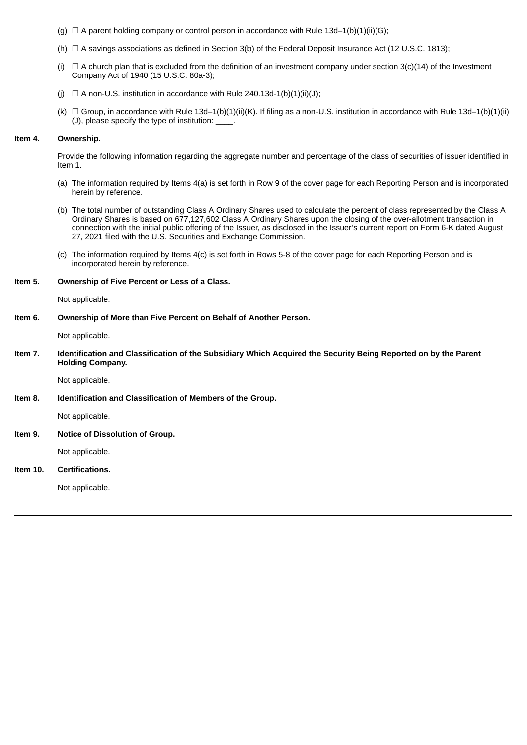- (g)  $\Box$  A parent holding company or control person in accordance with Rule 13d–1(b)(1)(ii)(G);
- (h)  $\Box$  A savings associations as defined in Section 3(b) of the Federal Deposit Insurance Act (12 U.S.C. 1813);
- (i)  $\Box$  A church plan that is excluded from the definition of an investment company under section 3(c)(14) of the Investment Company Act of 1940 (15 U.S.C. 80a-3);
- (i)  $\Box$  A non-U.S. institution in accordance with Rule 240.13d-1(b)(1)(iii)(J):
- (k)  $\Box$  Group, in accordance with Rule 13d-1(b)(1)(ii)(K). If filing as a non-U.S. institution in accordance with Rule 13d-1(b)(1)(ii) (J), please specify the type of institution:

#### **Item 4. Ownership.**

Provide the following information regarding the aggregate number and percentage of the class of securities of issuer identified in Item 1.

- (a) The information required by Items 4(a) is set forth in Row 9 of the cover page for each Reporting Person and is incorporated herein by reference.
- (b) The total number of outstanding Class A Ordinary Shares used to calculate the percent of class represented by the Class A Ordinary Shares is based on 677,127,602 Class A Ordinary Shares upon the closing of the over-allotment transaction in connection with the initial public offering of the Issuer, as disclosed in the Issuer's current report on Form 6-K dated August 27, 2021 filed with the U.S. Securities and Exchange Commission.
- (c) The information required by Items 4(c) is set forth in Rows 5-8 of the cover page for each Reporting Person and is incorporated herein by reference.

#### **Item 5. Ownership of Five Percent or Less of a Class.**

Not applicable.

#### **Item 6. Ownership of More than Five Percent on Behalf of Another Person.**

Not applicable.

Item 7. Identification and Classification of the Subsidiary Which Acquired the Security Being Reported on by the Parent **Holding Company.**

Not applicable.

**Item 8. Identification and Classification of Members of the Group.**

Not applicable.

**Item 9. Notice of Dissolution of Group.**

Not applicable.

## **Item 10. Certifications.**

Not applicable.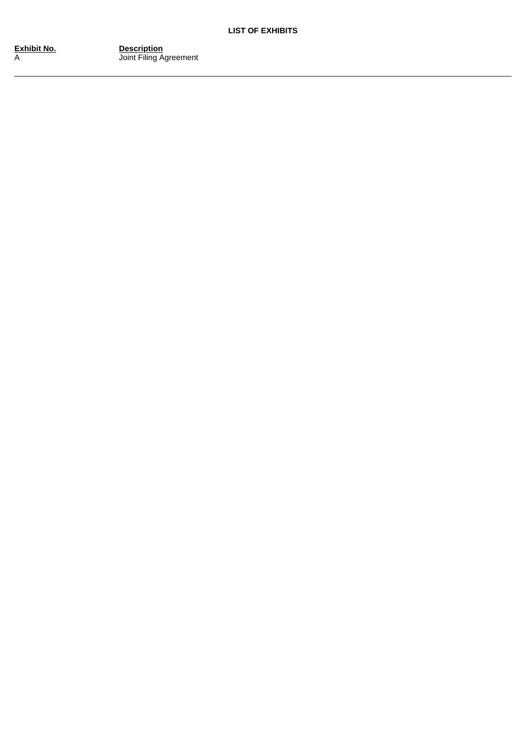**E x hibit N** A

**<u>Description</u>** Joint Filing Agreement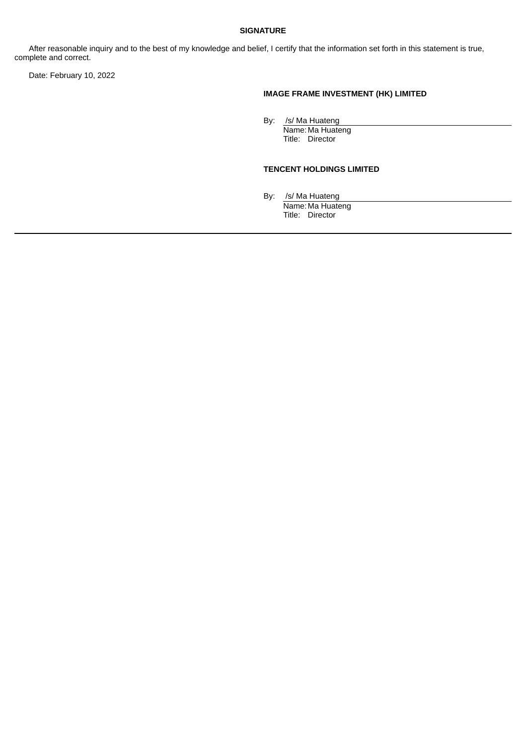## **SIGNATURE**

After reasonable inquiry and to the best of my knowledge and belief, I certify that the information set forth in this statement is true, complete and correct.

Date: February 10, 2022

## **IMAGE FRAME INVESTMENT (HK) LIMITED**

By: /s/ Ma Huateng

Name: Ma Huateng Title: Director

## **TENCENT HOLDINGS LIMITED**

By: /s/ Ma Huateng

Name: Ma Huateng Title: Director